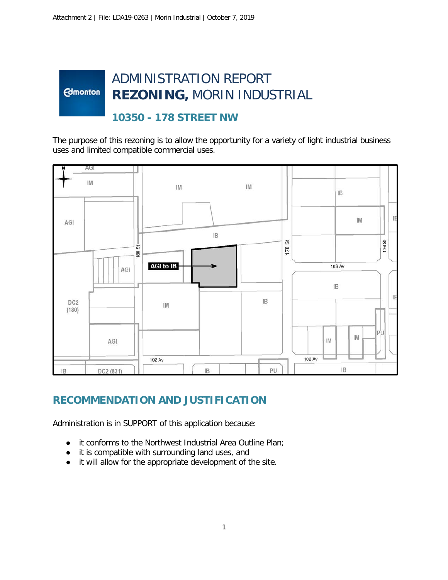#### ADMINISTRATION REPORT **Edmonton REZONING,** MORIN INDUSTRIAL

### **10350 - 178 STREET NW**

The purpose of this rezoning is to allow the opportunity for a variety of light industrial business uses and limited compatible commercial uses.



## **RECOMMENDATION AND JUSTIFICATION**

Administration is in SUPPORT of this application because:

- it conforms to the Northwest Industrial Area Outline Plan;
- it is compatible with surrounding land uses, and
- it will allow for the appropriate development of the site.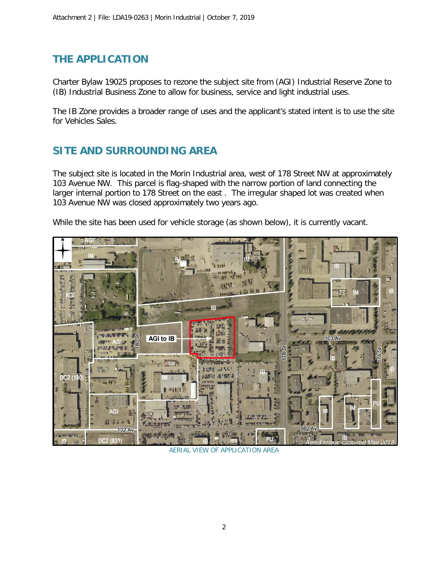#### **THE APPLICATION**

Charter Bylaw 19025 proposes to rezone the subject site from (AGI) Industrial Reserve Zone to (IB) Industrial Business Zone to allow for business, service and light industrial uses.

The IB Zone provides a broader range of uses and the applicant's stated intent is to use the site for Vehicles Sales.

#### **SITE AND SURROUNDING AREA**

The subject site is located in the Morin Industrial area, west of 178 Street NW at approximately 103 Avenue NW. This parcel is flag-shaped with the narrow portion of land connecting the larger internal portion to 178 Street on the east . The irregular shaped lot was created when 103 Avenue NW was closed approximately two years ago.

While the site has been used for vehicle storage (as shown below), it is currently vacant.



AERIAL VIEW OF APPLICATION AREA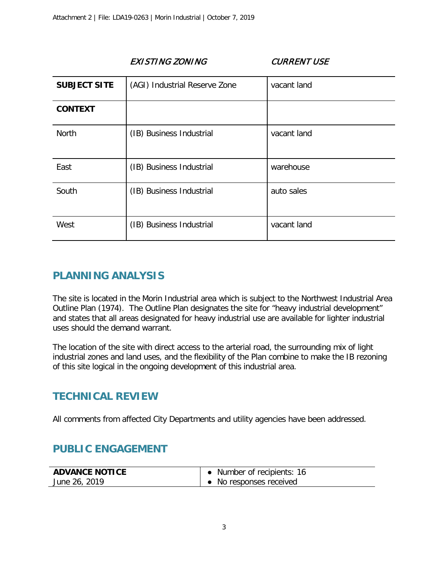| <b>SUBJECT SITE</b> | (AGI) Industrial Reserve Zone | vacant land |
|---------------------|-------------------------------|-------------|
| <b>CONTEXT</b>      |                               |             |
| North               | (IB) Business Industrial      | vacant land |
| East                | (IB) Business Industrial      | warehouse   |
| South               | (IB) Business Industrial      | auto sales  |
| West                | (IB) Business Industrial      | vacant land |

EXISTING ZONING CURRENT USE

## **PLANNING ANALYSIS**

The site is located in the Morin Industrial area which is subject to the Northwest Industrial Area Outline Plan (1974). The Outline Plan designates the site for "heavy industrial development" and states that all areas designated for heavy industrial use are available for lighter industrial uses should the demand warrant.

The location of the site with direct access to the arterial road, the surrounding mix of light industrial zones and land uses, and the flexibility of the Plan combine to make the IB rezoning of this site logical in the ongoing development of this industrial area.

#### **TECHNICAL REVIEW**

All comments from affected City Departments and utility agencies have been addressed.

#### **PUBLIC ENGAGEMENT**

| <b>ADVANCE NOTICE</b> | • Number of recipients: 16 |
|-----------------------|----------------------------|
| June 26, 2019         | • No responses received    |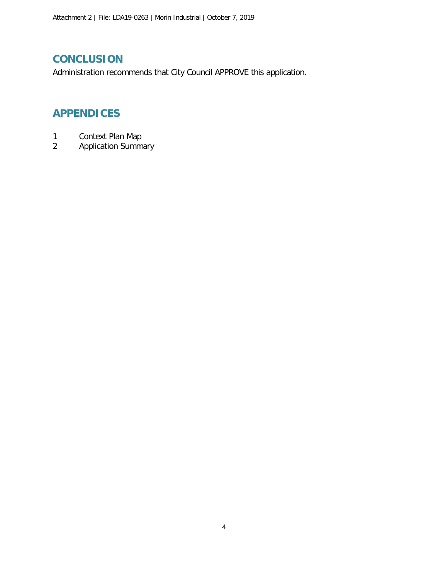#### **CONCLUSION**

Administration recommends that City Council APPROVE this application.

### **APPENDICES**

- 1 Context Plan Map
- 2 Application Summary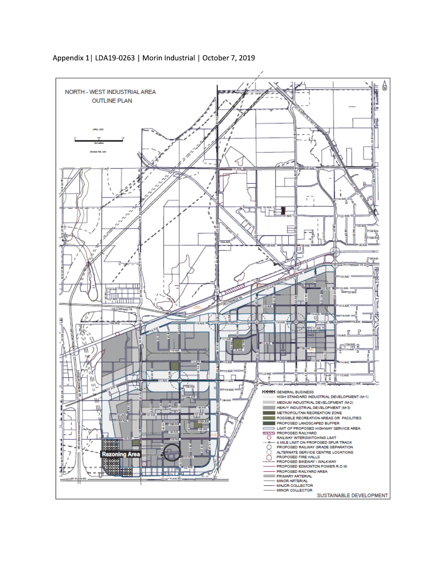

Appendix 1| LDA19-0263 | Morin Industrial | October 7, 2019